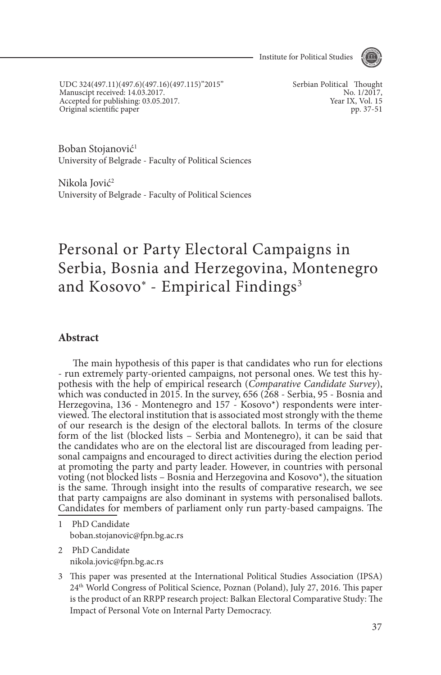

UDC 324(497.11)(497.6)(497.16)(497.115)"2015" Manuscipt received: 14.03.2017. Accepted for publishing: 03.05.2017. Original scientific paper

Serbian Political Thought No. 1/2017, Year IX, Vol. 15 pp. 37-51

Boban Stojanović<sup>1</sup> University of Belgrade - Faculty of Political Sciences

Nikola Iović<sup>2</sup> University of Belgrade - Faculty of Political Sciences

# Personal or Party Electoral Campaigns in Serbia, Bosnia and Herzegovina, Montenegro and Kosovo\* - Empirical Findings<sup>3</sup>

#### **Abstract**

The main hypothesis of this paper is that candidates who run for elections - run extremely party-oriented campaigns, not personal ones. We test this hy- pothesis with the help of empirical research (*Comparative Candidate Survey*), which was conducted in 2015. In the survey, 656 (268 - Serbia, 95 - Bosnia and Herzegovina, 136 - Montenegro and 157 - Kosovo\*) respondents were inter- viewed. The electoral institution that is associated most strongly with the theme of our research is the design of the electoral ballots. In terms of the closure form of the list (blocked lists – Serbia and Montenegro), it can be said that the candidates who are on the electoral list are discouraged from leading personal campaigns and encouraged to direct activities during the election period at promoting the party and party leader. However, in countries with personal voting (not blocked lists – Bosnia and Herzegovina and Kosovo\*), the situation is the same. Through insight into the results of comparative research, we see that party campaigns are also dominant in systems with personalised ballots. Candidates for members of parliament only run party-based campaigns. The

1 PhD Candidate boban.stojanovic@fpn.bg.ac.rs

2 PhD Candidate nikola.jovic@fpn.bg.ac.rs

3 This paper was presented at the International Political Studies Association (IPSA) 24th World Congress of Political Science, Poznan (Poland), July 27, 2016. This paper is the product of an RRPP research project: Balkan Electoral Comparative Study: The Impact of Personal Vote on Internal Party Democracy.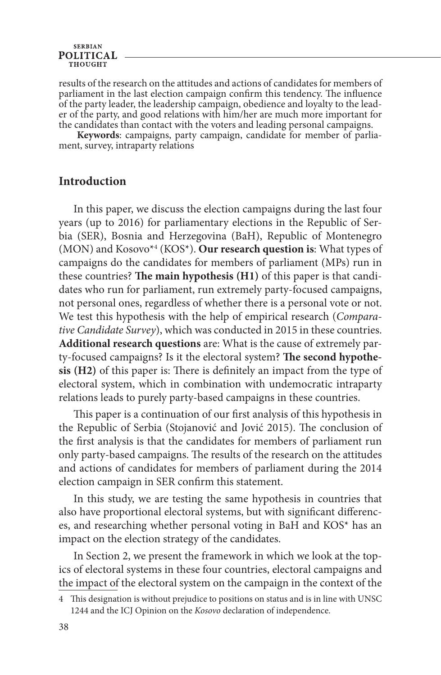#### **SERBIAN POLITICAL THOUGHT**

results of the research on the attitudes and actions of candidates for members of parliament in the last election campaign confirm this tendency. The influence of the party leader, the leadership campaign, obedience and loyalty to the lead- er of the party, and good relations with him/her are much more important for the candidates than contact with the voters and leading personal campaigns.

 **Keywords**: campaigns, party campaign, candidate for member of parlia- ment, survey, intraparty relations

#### **Introduction**

In this paper, we discuss the election campaigns during the last four years (up to 2016) for parliamentary elections in the Republic of Serbia (SER), Bosnia and Herzegovina (BaH), Republic of Montenegro (MON) and Kosovo\*4 (KOS\*). **Our research question is**: What types of campaigns do the candidates for members of parliament (MPs) run in these countries? **The main hypothesis (H1)** of this paper is that candidates who run for parliament, run extremely party-focused campaigns, not personal ones, regardless of whether there is a personal vote or not. We test this hypothesis with the help of empirical research (*Comparative Candidate Survey*), which was conducted in 2015 in these countries. **Additional research questions** are: What is the cause of extremely party-focused campaigns? Is it the electoral system? **The second hypothesis (H2)** of this paper is: There is definitely an impact from the type of electoral system, which in combination with undemocratic intraparty relations leads to purely party-based campaigns in these countries.

This paper is a continuation of our first analysis of this hypothesis in the Republic of Serbia (Stojanović and Jović 2015). The conclusion of the first analysis is that the candidates for members of parliament run only party-based campaigns. The results of the research on the attitudes and actions of candidates for members of parliament during the 2014 election campaign in SER confirm this statement.

In this study, we are testing the same hypothesis in countries that also have proportional electoral systems, but with significant differences, and researching whether personal voting in BaH and KOS\* has an impact on the election strategy of the candidates.

In Section 2, we present the framework in which we look at the topics of electoral systems in these four countries, electoral campaigns and the impact of the electoral system on the campaign in the context of the

<sup>4</sup> This designation is without prejudice to positions on status and is in line with UNSC 1244 and the ICJ Opinion on the *Kosovo* declaration of independence.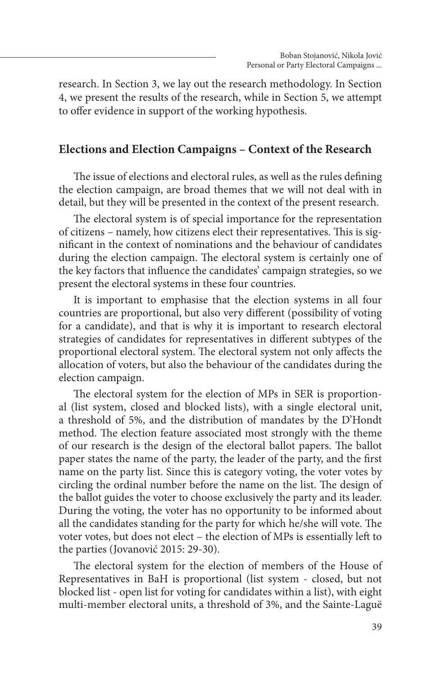research. In Section 3, we lay out the research methodology. In Section 4, we present the results of the research, while in Section 5, we attempt to offer evidence in support of the working hypothesis.

#### **Elections and Election Campaigns – Context of the Research**

The issue of elections and electoral rules, as well as the rules defining the election campaign, are broad themes that we will not deal with in detail, but they will be presented in the context of the present research.

The electoral system is of special importance for the representation of citizens – namely, how citizens elect their representatives. This is significant in the context of nominations and the behaviour of candidates during the election campaign. The electoral system is certainly one of the key factors that influence the candidates' campaign strategies, so we present the electoral systems in these four countries.

It is important to emphasise that the election systems in all four countries are proportional, but also very different (possibility of voting for a candidate), and that is why it is important to research electoral strategies of candidates for representatives in different subtypes of the proportional electoral system. The electoral system not only affects the allocation of voters, but also the behaviour of the candidates during the election campaign.

The electoral system for the election of MPs in SER is proportional (list system, closed and blocked lists), with a single electoral unit, a threshold of 5%, and the distribution of mandates by the D'Hondt method. The election feature associated most strongly with the theme of our research is the design of the electoral ballot papers. The ballot paper states the name of the party, the leader of the party, and the first name on the party list. Since this is category voting, the voter votes by circling the ordinal number before the name on the list. The design of the ballot guides the voter to choose exclusively the party and its leader. During the voting, the voter has no opportunity to be informed about all the candidates standing for the party for which he/she will vote. The voter votes, but does not elect – the election of MPs is essentially left to the parties (Jovanović 2015: 29-30).

The electoral system for the election of members of the House of Representatives in BaH is proportional (list system - closed, but not blocked list - open list for voting for candidates within a list), with eight multi-member electoral units, a threshold of 3%, and the Sainte-Laguë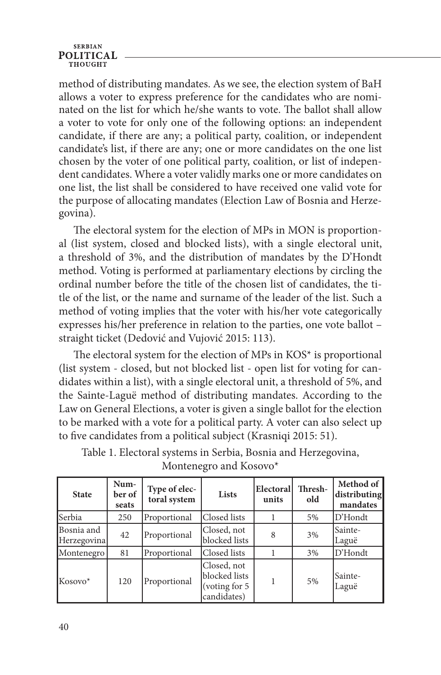#### **SERBIAN POLITICAL**

method of distributing mandates. As we see, the election system of BaH allows a voter to express preference for the candidates who are nominated on the list for which he/she wants to vote. The ballot shall allow a voter to vote for only one of the following options: an independent candidate, if there are any; a political party, coalition, or independent candidate's list, if there are any; one or more candidates on the one list chosen by the voter of one political party, coalition, or list of independent candidates. Where a voter validly marks one or more candidates on one list, the list shall be considered to have received one valid vote for the purpose of allocating mandates (Election Law of Bosnia and Herzegovina).

The electoral system for the election of MPs in MON is proportional (list system, closed and blocked lists), with a single electoral unit, a threshold of 3%, and the distribution of mandates by the D'Hondt method. Voting is performed at parliamentary elections by circling the ordinal number before the title of the chosen list of candidates, the title of the list, or the name and surname of the leader of the list. Such a method of voting implies that the voter with his/her vote categorically expresses his/her preference in relation to the parties, one vote ballot – straight ticket (Dedović and Vujović 2015: 113).

The electoral system for the election of MPs in KOS\* is proportional (list system - closed, but not blocked list - open list for voting for candidates within a list), with a single electoral unit, a threshold of 5%, and the Sainte-Laguë method of distributing mandates. According to the Law on General Elections, a voter is given a single ballot for the election to be marked with a vote for a political party. A voter can also select up to five candidates from a political subject (Krasniqi 2015: 51).

| <b>State</b>              | Num-<br>ber of<br>seats | Type of elec-<br>toral system | Lists                                                         | Electoral<br>units | Thresh-<br>old | Method of<br>distributing<br>mandates |
|---------------------------|-------------------------|-------------------------------|---------------------------------------------------------------|--------------------|----------------|---------------------------------------|
| <b>Serbia</b>             | 250                     | Proportional                  | Closed lists                                                  |                    | 5%             | D'Hondt                               |
| Bosnia and<br>Herzegovina | 42                      | Proportional                  | Closed, not<br>blocked lists                                  | 3%<br>8            |                | Sainte-<br>Laguë                      |
| Montenegro                | 81                      | Proportional                  | Closed lists<br>3%                                            |                    | D'Hondt        |                                       |
| Kosovo*                   | 120                     | Proportional                  | Closed, not<br>blocked lists<br>(voting for 5)<br>candidates) |                    | 5%             | Sainte-<br>Laguë                      |

Table 1. Electoral systems in Serbia, Bosnia and Herzegovina, Montenegro and Kosovo\*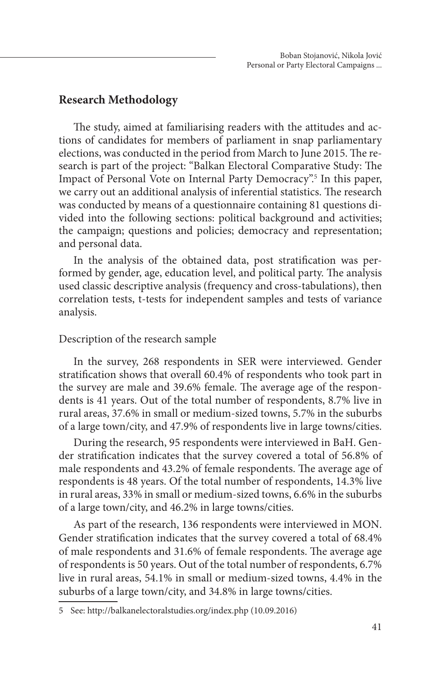### **Research Methodology**

The study, aimed at familiarising readers with the attitudes and actions of candidates for members of parliament in snap parliamentary elections, was conducted in the period from March to June 2015. The research is part of the project: "Balkan Electoral Comparative Study: The Impact of Personal Vote on Internal Party Democracy".<sup>5</sup> In this paper, we carry out an additional analysis of inferential statistics. The research was conducted by means of a questionnaire containing 81 questions divided into the following sections: political background and activities; the campaign; questions and policies; democracy and representation; and personal data.

In the analysis of the obtained data, post stratification was performed by gender, age, education level, and political party. The analysis used classic descriptive analysis (frequency and cross-tabulations), then correlation tests, t-tests for independent samples and tests of variance analysis.

#### Description of the research sample

In the survey, 268 respondents in SER were interviewed. Gender stratification shows that overall 60.4% of respondents who took part in the survey are male and 39.6% female. The average age of the respondents is 41 years. Out of the total number of respondents, 8.7% live in rural areas, 37.6% in small or medium-sized towns, 5.7% in the suburbs of a large town/city, and 47.9% of respondents live in large towns/cities.

During the research, 95 respondents were interviewed in BaH. Gender stratification indicates that the survey covered a total of 56.8% of male respondents and 43.2% of female respondents. The average age of respondents is 48 years. Of the total number of respondents, 14.3% live in rural areas, 33% in small or medium-sized towns, 6.6% in the suburbs of a large town/city, and 46.2% in large towns/cities.

As part of the research, 136 respondents were interviewed in MON. Gender stratification indicates that the survey covered a total of 68.4% of male respondents and 31.6% of female respondents. The average age of respondents is 50 years. Out of the total number of respondents, 6.7% live in rural areas, 54.1% in small or medium-sized towns, 4.4% in the suburbs of a large town/city, and 34.8% in large towns/cities.

<sup>5</sup> See: http://balkanelectoralstudies.org/index.php (10.09.2016)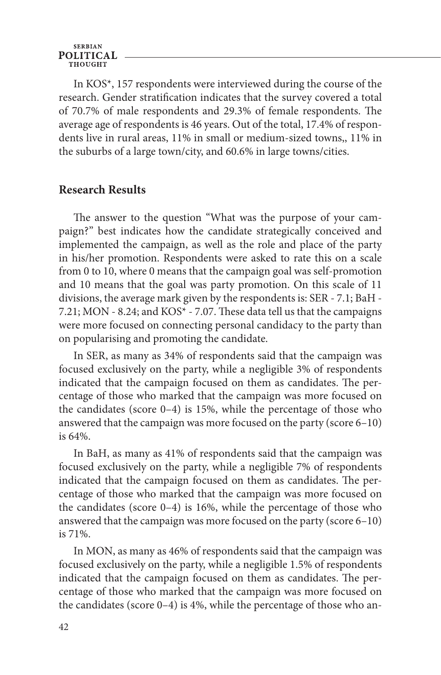#### **SERBIAN POLITICAL**

In KOS\*, 157 respondents were interviewed during the course of the research. Gender stratification indicates that the survey covered a total of 70.7% of male respondents and 29.3% of female respondents. The average age of respondents is 46 years. Out of the total, 17.4% of respondents live in rural areas, 11% in small or medium-sized towns,, 11% in the suburbs of a large town/city, and 60.6% in large towns/cities.

#### **Research Results**

The answer to the question "What was the purpose of your campaign?" best indicates how the candidate strategically conceived and implemented the campaign, as well as the role and place of the party in his/her promotion. Respondents were asked to rate this on a scale from 0 to 10, where 0 means that the campaign goal was self-promotion and 10 means that the goal was party promotion. On this scale of 11 divisions, the average mark given by the respondents is: SER - 7.1; BaH - 7.21; MON - 8.24; and KOS\* - 7.07. These data tell us that the campaigns were more focused on connecting personal candidacy to the party than on popularising and promoting the candidate.

In SER, as many as 34% of respondents said that the campaign was focused exclusively on the party, while a negligible 3% of respondents indicated that the campaign focused on them as candidates. The percentage of those who marked that the campaign was more focused on the candidates (score 0–4) is 15%, while the percentage of those who answered that the campaign was more focused on the party (score 6–10) is 64%.

In BaH, as many as 41% of respondents said that the campaign was focused exclusively on the party, while a negligible 7% of respondents indicated that the campaign focused on them as candidates. The percentage of those who marked that the campaign was more focused on the candidates (score 0–4) is 16%, while the percentage of those who answered that the campaign was more focused on the party (score 6–10) is 71%.

In MON, as many as 46% of respondents said that the campaign was focused exclusively on the party, while a negligible 1.5% of respondents indicated that the campaign focused on them as candidates. The percentage of those who marked that the campaign was more focused on the candidates (score 0–4) is 4%, while the percentage of those who an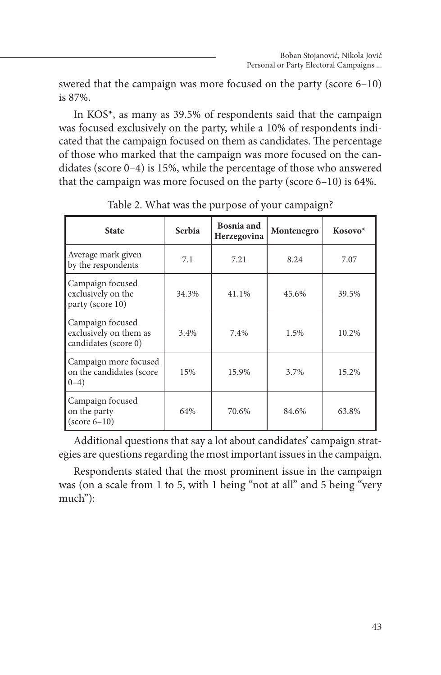swered that the campaign was more focused on the party (score 6–10) is 87%.

In KOS\*, as many as 39.5% of respondents said that the campaign was focused exclusively on the party, while a 10% of respondents indicated that the campaign focused on them as candidates. The percentage of those who marked that the campaign was more focused on the candidates (score 0–4) is 15%, while the percentage of those who answered that the campaign was more focused on the party (score 6–10) is 64%.

| <b>State</b>                                                       | <b>Serbia</b> | <b>Bosnia</b> and<br>Herzegovina | Montenegro | Kosovo* |
|--------------------------------------------------------------------|---------------|----------------------------------|------------|---------|
| Average mark given<br>by the respondents                           | 7.1           | 7.21                             | 8.24       | 7.07    |
| Campaign focused<br>exclusively on the<br>party (score 10)         | 34.3%         | 41.1%                            | 45.6%      | 39.5%   |
| Campaign focused<br>exclusively on them as<br>candidates (score 0) | 3.4%          | 7.4%                             | 1.5%       | 10.2%   |
| Campaign more focused<br>on the candidates (score<br>$0 - 4)$      | 15%           | 15.9%                            | 3.7%       | 15.2%   |
| Campaign focused<br>on the party<br>$(score 6-10)$                 | 64%           | 70.6%                            | 84.6%      | 63.8%   |

Table 2. What was the purpose of your campaign?

Additional questions that say a lot about candidates' campaign strategies are questions regarding the most important issues in the campaign.

Respondents stated that the most prominent issue in the campaign was (on a scale from 1 to 5, with 1 being "not at all" and 5 being "very much"):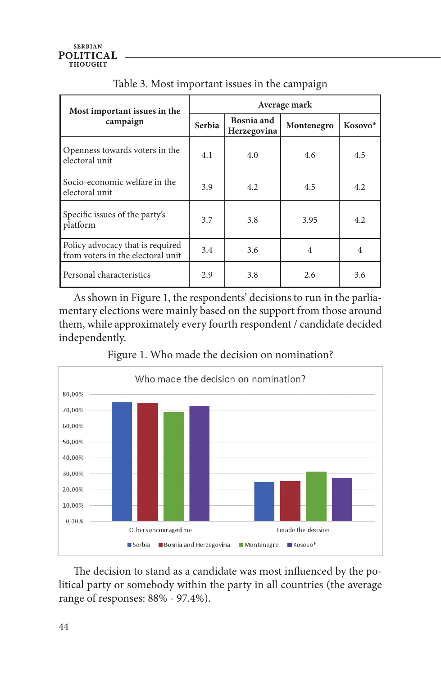| Most important issues in the                                          | Average mark |                           |            |         |  |
|-----------------------------------------------------------------------|--------------|---------------------------|------------|---------|--|
| campaign                                                              | Serbia       | Bosnia and<br>Herzegovina | Montenegro | Kosovo* |  |
| Openness towards voters in the<br>electoral unit                      | 4.1          | 4.0                       | 4.6        | 4.5     |  |
| Socio-economic welfare in the<br>electoral unit                       | 3.9          | 4.2                       | 4.5        | 4.2     |  |
| Specific issues of the party's<br>platform                            | 3.7          | 3.8                       | 3.95       | 4.2     |  |
| Policy advocacy that is required<br>from voters in the electoral unit | 3.4          | 3.6                       | 4          | 4       |  |
| Personal characteristics                                              | 2.9          | 3.8                       | 2.6        | 3.6     |  |

Table 3. Most important issues in the campaign

As shown in Figure 1, the respondents' decisions to run in the parliamentary elections were mainly based on the support from those around them, while approximately every fourth respondent / candidate decided independently.



Figure 1. Who made the decision on nomination?

The decision to stand as a candidate was most influenced by the political party or somebody within the party in all countries (the average range of responses: 88% - 97.4%).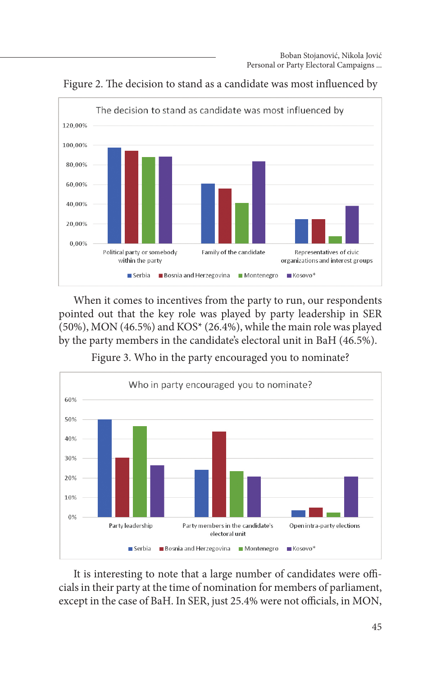

Figure 2. The decision to stand as a candidate was most influenced by

When it comes to incentives from the party to run, our respondents pointed out that the key role was played by party leadership in SER (50%), MON (46.5%) and KOS\* (26.4%), while the main role was played by the party members in the candidate's electoral unit in BaH (46.5%).

Figure 3. Who in the party encouraged you to nominate?



It is interesting to note that a large number of candidates were officials in their party at the time of nomination for members of parliament, except in the case of BaH. In SER, just 25.4% were not officials, in MON,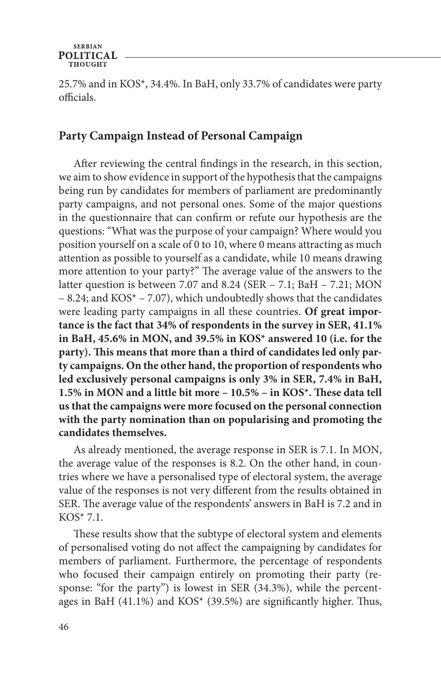25.7% and in KOS\*, 34.4%. In BaH, only 33.7% of candidates were party officials.

### **Party Campaign Instead of Personal Campaign**

After reviewing the central findings in the research, in this section, we aim to show evidence in support of the hypothesis that the campaigns being run by candidates for members of parliament are predominantly party campaigns, and not personal ones. Some of the major questions in the questionnaire that can confirm or refute our hypothesis are the questions: "What was the purpose of your campaign? Where would you position yourself on a scale of 0 to 10, where 0 means attracting as much attention as possible to yourself as a candidate, while 10 means drawing more attention to your party?" The average value of the answers to the latter question is between 7.07 and 8.24 (SER – 7.1; BaH – 7.21; MON – 8.24; and KOS\* – 7.07), which undoubtedly shows that the candidates were leading party campaigns in all these countries. **Of great importance is the fact that 34% of respondents in the survey in SER, 41.1% in BaH, 45.6% in MON, and 39.5% in KOS\* answered 10 (i.e. for the party). This means that more than a third of candidates led only party campaigns. On the other hand, the proportion of respondents who led exclusively personal campaigns is only 3% in SER, 7.4% in BaH, 1.5% in MON and a little bit more – 10.5% – in KOS\*. These data tell us that the campaigns were more focused on the personal connection with the party nomination than on popularising and promoting the candidates themselves.**

As already mentioned, the average response in SER is 7.1. In MON, the average value of the responses is 8.2. On the other hand, in countries where we have a personalised type of electoral system, the average value of the responses is not very different from the results obtained in SER. The average value of the respondents' answers in BaH is 7.2 and in KOS\* 7.1.

These results show that the subtype of electoral system and elements of personalised voting do not affect the campaigning by candidates for members of parliament. Furthermore, the percentage of respondents who focused their campaign entirely on promoting their party (response: "for the party") is lowest in SER (34.3%), while the percentages in BaH (41.1%) and KOS\* (39.5%) are significantly higher. Thus,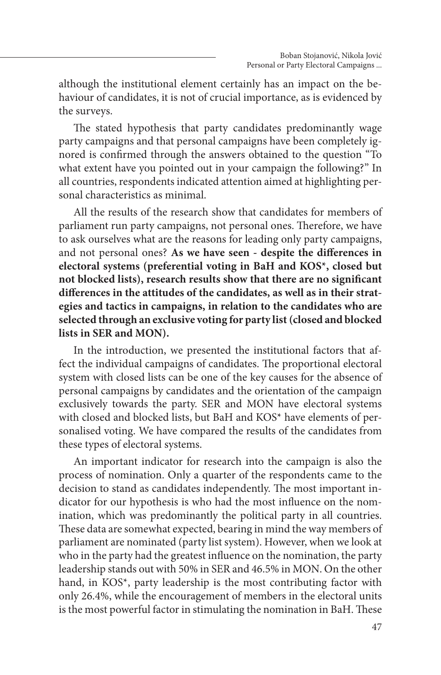although the institutional element certainly has an impact on the behaviour of candidates, it is not of crucial importance, as is evidenced by the surveys.

The stated hypothesis that party candidates predominantly wage party campaigns and that personal campaigns have been completely ignored is confirmed through the answers obtained to the question "To what extent have you pointed out in your campaign the following?" In all countries, respondents indicated attention aimed at highlighting personal characteristics as minimal.

All the results of the research show that candidates for members of parliament run party campaigns, not personal ones. Therefore, we have to ask ourselves what are the reasons for leading only party campaigns, and not personal ones? **As we have seen - despite the differences in electoral systems (preferential voting in BaH and KOS\*, closed but not blocked lists), research results show that there are no significant differences in the attitudes of the candidates, as well as in their strategies and tactics in campaigns, in relation to the candidates who are selected through an exclusive voting for party list(closed and blocked lists in SER and MON).**

In the introduction, we presented the institutional factors that affect the individual campaigns of candidates. The proportional electoral system with closed lists can be one of the key causes for the absence of personal campaigns by candidates and the orientation of the campaign exclusively towards the party. SER and MON have electoral systems with closed and blocked lists, but BaH and KOS\* have elements of personalised voting. We have compared the results of the candidates from these types of electoral systems.

An important indicator for research into the campaign is also the process of nomination. Only a quarter of the respondents came to the decision to stand as candidates independently. The most important indicator for our hypothesis is who had the most influence on the nomination, which was predominantly the political party in all countries. These data are somewhat expected, bearing in mind the way members of parliament are nominated (party list system). However, when we look at who in the party had the greatest influence on the nomination, the party leadership stands out with 50% in SER and 46.5% in MON. On the other hand, in KOS\*, party leadership is the most contributing factor with only 26.4%, while the encouragement of members in the electoral units is the most powerful factor in stimulating the nomination in BaH. These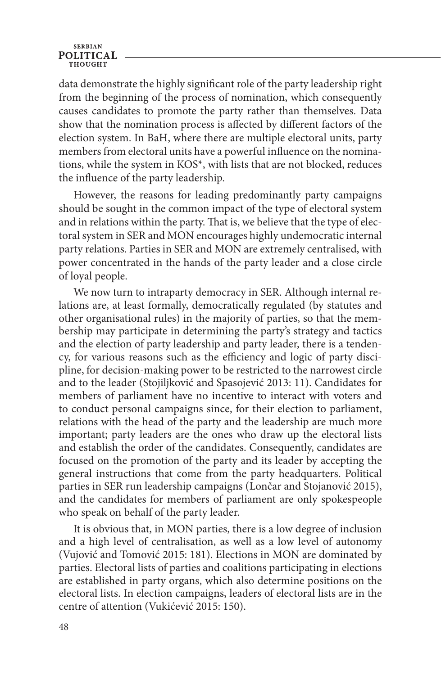#### **SERBIAN POLITICAL**

data demonstrate the highly significant role of the party leadership right from the beginning of the process of nomination, which consequently causes candidates to promote the party rather than themselves. Data show that the nomination process is affected by different factors of the election system. In BaH, where there are multiple electoral units, party members from electoral units have a powerful influence on the nominations, while the system in KOS\*, with lists that are not blocked, reduces the influence of the party leadership.

However, the reasons for leading predominantly party campaigns should be sought in the common impact of the type of electoral system and in relations within the party. That is, we believe that the type of electoral system in SER and MON encourages highly undemocratic internal party relations. Parties in SER and MON are extremely centralised, with power concentrated in the hands of the party leader and a close circle of loyal people.

We now turn to intraparty democracy in SER. Although internal relations are, at least formally, democratically regulated (by statutes and other organisational rules) in the majority of parties, so that the membership may participate in determining the party's strategy and tactics and the election of party leadership and party leader, there is a tendency, for various reasons such as the efficiency and logic of party discipline, for decision-making power to be restricted to the narrowest circle and to the leader (Stojiljković and Spasojević 2013: 11). Candidates for members of parliament have no incentive to interact with voters and to conduct personal campaigns since, for their election to parliament, relations with the head of the party and the leadership are much more important; party leaders are the ones who draw up the electoral lists and establish the order of the candidates. Consequently, candidates are focused on the promotion of the party and its leader by accepting the general instructions that come from the party headquarters. Political parties in SER run leadership campaigns (Lončar and Stojanović 2015), and the candidates for members of parliament are only spokespeople who speak on behalf of the party leader.

It is obvious that, in MON parties, there is a low degree of inclusion and a high level of centralisation, as well as a low level of autonomy (Vujović and Tomović 2015: 181). Elections in MON are dominated by parties. Electoral lists of parties and coalitions participating in elections are established in party organs, which also determine positions on the electoral lists. In election campaigns, leaders of electoral lists are in the centre of attention (Vukićević 2015: 150).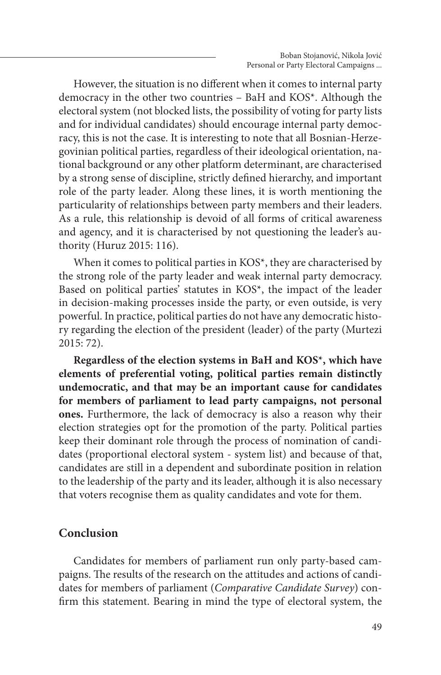However, the situation is no different when it comes to internal party democracy in the other two countries – BaH and KOS\*. Although the electoral system (not blocked lists, the possibility of voting for party lists and for individual candidates) should encourage internal party democracy, this is not the case. It is interesting to note that all Bosnian-Herzegovinian political parties, regardless of their ideological orientation, national background or any other platform determinant, are characterised by a strong sense of discipline, strictly defined hierarchy, and important role of the party leader. Along these lines, it is worth mentioning the particularity of relationships between party members and their leaders. As a rule, this relationship is devoid of all forms of critical awareness and agency, and it is characterised by not questioning the leader's authority (Huruz 2015: 116).

When it comes to political parties in KOS<sup>\*</sup>, they are characterised by the strong role of the party leader and weak internal party democracy. Based on political parties' statutes in KOS\*, the impact of the leader in decision-making processes inside the party, or even outside, is very powerful. In practice, political parties do not have any democratic history regarding the election of the president (leader) of the party (Murtezi 2015: 72).

**Regardless of the election systems in BaH and KOS\*, which have elements of preferential voting, political parties remain distinctly undemocratic, and that may be an important cause for candidates for members of parliament to lead party campaigns, not personal ones.** Furthermore, the lack of democracy is also a reason why their election strategies opt for the promotion of the party. Political parties keep their dominant role through the process of nomination of candidates (proportional electoral system - system list) and because of that, candidates are still in a dependent and subordinate position in relation to the leadership of the party and its leader, although it is also necessary that voters recognise them as quality candidates and vote for them.

#### **Conclusion**

Candidates for members of parliament run only party-based campaigns. The results of the research on the attitudes and actions of candidates for members of parliament (*Comparative Candidate Survey*) confirm this statement. Bearing in mind the type of electoral system, the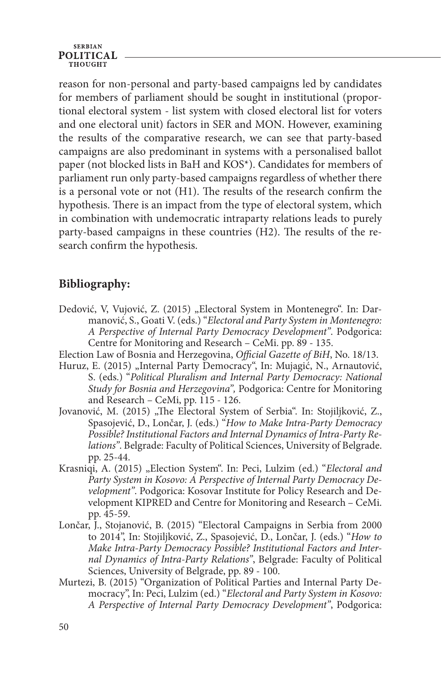#### **SERBIAN POLITICAL** THOUGHT

reason for non-personal and party-based campaigns led by candidates for members of parliament should be sought in institutional (proportional electoral system - list system with closed electoral list for voters and one electoral unit) factors in SER and MON. However, examining the results of the comparative research, we can see that party-based campaigns are also predominant in systems with a personalised ballot paper (not blocked lists in BaH and KOS\*). Candidates for members of parliament run only party-based campaigns regardless of whether there is a personal vote or not (H1). The results of the research confirm the hypothesis. There is an impact from the type of electoral system, which in combination with undemocratic intraparty relations leads to purely party-based campaigns in these countries (H2). The results of the research confirm the hypothesis.

## **Bibliography:**

- Dedović, V, Vujović, Z. (2015) "Electoral System in Montenegro". In: Darmanović, S., Goati V. (eds.) "*Electoral and Party System in Montenegro: A Perspective of Internal Party Democracy Development"*. Podgorica: Centre for Monitoring and Research – CeMi. pp. 89 - 135.
- Election Law of Bosnia and Herzegovina, *Official Gazette of BiH*, No. 18/13.
- Huruz, E. (2015) "Internal Party Democracy", In: Mujagić, N., Arnautović, S. (eds.) "*Political Pluralism and Internal Party Democracy: National Study for Bosnia and Herzegovina",* Podgorica: Centre for Monitoring and Research – CeMi, pp. 115 - 126.
- Jovanović, M. (2015) "The Electoral System of Serbia". In: Stojiljković, Z., Spasojević, D., Lončar, J. (eds.) "*How to Make Intra-Party Democracy Possible? Institutional Factors and Internal Dynamics of Intra-Party Relations"*. Belgrade: Faculty of Political Sciences, University of Belgrade. pp. 25-44.
- Krasniqi, A. (2015) "Election System". In: Peci, Lulzim (ed.) "Electoral and *Party System in Kosovo: A Perspective of Internal Party Democracy Development"*. Podgorica: Kosovar Institute for Policy Research and Development KIPRED and Centre for Monitoring and Research – CeMi. pp. 45-59.
- Lončar, J., Stojanović, B. (2015) "Electoral Campaigns in Serbia from 2000 to 2014", In: Stojiljković, Z., Spasojević, D., Lončar, J. (eds.) "*How to Make Intra-Party Democracy Possible? Institutional Factors and Internal Dynamics of Intra-Party Relations"*, Belgrade: Faculty of Political Sciences, University of Belgrade, pp. 89 - 100.
- Murtezi, B. (2015) "Organization of Political Parties and Internal Party Democracy", In: Peci, Lulzim (ed.) "*Electoral and Party System in Kosovo: A Perspective of Internal Party Democracy Development"*, Podgorica: